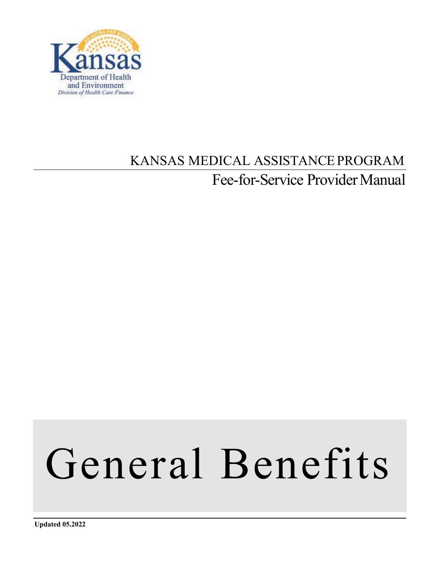

# KANSAS MEDICAL ASSISTANCEPROGRAM Fee-for-Service Provider Manual

# General Benefits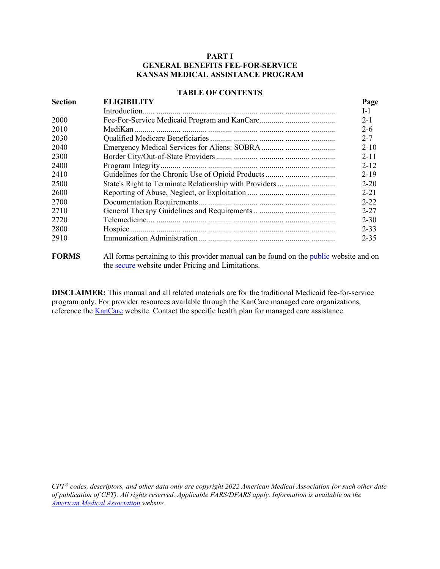# **PART I GENERAL BENEFITS FEE-FOR-SERVICE KANSAS MEDICAL ASSISTANCE PROGRAM**

# **TABLE OF CONTENTS**

| <b>ELIGIBILITY</b>                                     | Page     |
|--------------------------------------------------------|----------|
|                                                        | $I-1$    |
|                                                        | $2 - 1$  |
|                                                        | $2 - 6$  |
|                                                        | $2 - 7$  |
|                                                        | $2 - 10$ |
|                                                        | $2 - 11$ |
|                                                        | $2 - 12$ |
| Guidelines for the Chronic Use of Opioid Products      | $2 - 19$ |
| State's Right to Terminate Relationship with Providers | $2 - 20$ |
|                                                        | $2 - 21$ |
|                                                        | $2 - 22$ |
|                                                        | $2 - 27$ |
|                                                        | $2 - 30$ |
|                                                        | $2 - 33$ |
|                                                        | $2 - 35$ |
|                                                        |          |

**FORMS** All forms pertaining to this provider manual can be found on the **public** website and on the [secure](https://portal.kmap-state-ks.us/Home/Index) website under Pricing and Limitations.

**DISCLAIMER:** This manual and all related materials are for the traditional Medicaid fee-for-service program only. For provider resources available through the KanCare managed care organizations, reference the **KanCare** website. Contact the specific health plan for managed care assistance.

*CPT® codes, descriptors, and other data only are copyright 2022 American Medical Association (or such other date of publication of CPT). All rights reserved. Applicable FARS/DFARS apply. Information is available on the [American Medical Association](http://www.ama-assn.org/) website.*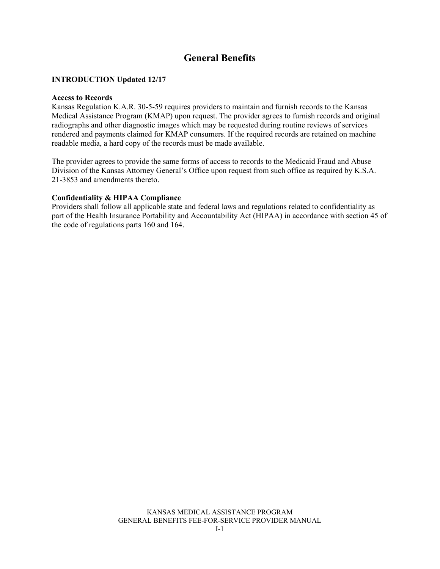# **General Benefits**

# **INTRODUCTION Updated 12/17**

#### **Access to Records**

Kansas Regulation K.A.R. 30-5-59 requires providers to maintain and furnish records to the Kansas Medical Assistance Program (KMAP) upon request. The provider agrees to furnish records and original radiographs and other diagnostic images which may be requested during routine reviews of services rendered and payments claimed for KMAP consumers. If the required records are retained on machine readable media, a hard copy of the records must be made available.

The provider agrees to provide the same forms of access to records to the Medicaid Fraud and Abuse Division of the Kansas Attorney General's Office upon request from such office as required by K.S.A. 21-3853 and amendments thereto.

#### **Confidentiality & HIPAA Compliance**

Providers shall follow all applicable state and federal laws and regulations related to confidentiality as part of the Health Insurance Portability and Accountability Act (HIPAA) in accordance with section 45 of the code of regulations parts 160 and 164.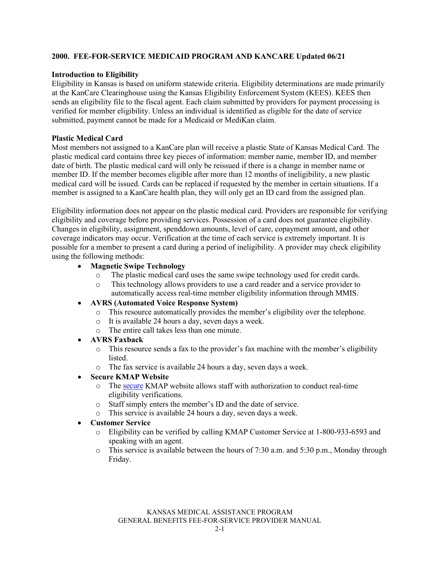# **2000. FEE-FOR-SERVICE MEDICAID PROGRAM AND KANCARE Updated 06/21**

# **Introduction to Eligibility**

Eligibility in Kansas is based on uniform statewide criteria. Eligibility determinations are made primarily at the KanCare Clearinghouse using the Kansas Eligibility Enforcement System (KEES). KEES then sends an eligibility file to the fiscal agent. Each claim submitted by providers for payment processing is verified for member eligibility. Unless an individual is identified as eligible for the date of service submitted, payment cannot be made for a Medicaid or MediKan claim.

# **Plastic Medical Card**

Most members not assigned to a KanCare plan will receive a plastic State of Kansas Medical Card. The plastic medical card contains three key pieces of information: member name, member ID, and member date of birth. The plastic medical card will only be reissued if there is a change in member name or member ID. If the member becomes eligible after more than 12 months of ineligibility, a new plastic medical card will be issued. Cards can be replaced if requested by the member in certain situations. If a member is assigned to a KanCare health plan, they will only get an ID card from the assigned plan.

Eligibility information does not appear on the plastic medical card. Providers are responsible for verifying eligibility and coverage before providing services. Possession of a card does not guarantee eligibility. Changes in eligibility, assignment, spenddown amounts, level of care, copayment amount, and other coverage indicators may occur. Verification at the time of each service is extremely important. It is possible for a member to present a card during a period of ineligibility. A provider may check eligibility using the following methods:

# • **Magnetic Swipe Technology**

- o The plastic medical card uses the same swipe technology used for credit cards.
- This technology allows providers to use a card reader and a service provider to automatically access real-time member eligibility information through MMIS.

# • **AVRS (Automated Voice Response System)**

- o This resource automatically provides the member's eligibility over the telephone.
- $\circ$  It is available 24 hours a day, seven days a week.<br>  $\circ$  The entire call takes less than one minute.
- The entire call takes less than one minute.

# • **AVRS Faxback**

- $\circ$  This resource sends a fax to the provider's fax machine with the member's eligibility listed.
- o The fax service is available 24 hours a day, seven days a week.

# • **Secure KMAP Website**

- o The [secure](https://portal.kmap-state-ks.us/Home/Index) KMAP website allows staff with authorization to conduct real-time eligibility verifications.
- o Staff simply enters the member's ID and the date of service.
- o This service is available 24 hours a day, seven days a week.

# • **Customer Service**

- o Eligibility can be verified by calling KMAP Customer Service at 1-800-933-6593 and speaking with an agent.
- o This service is available between the hours of 7:30 a.m. and 5:30 p.m., Monday through Friday.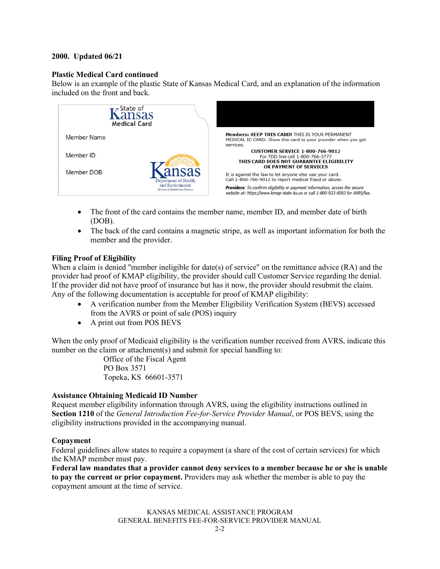#### **Plastic Medical Card continued**

Below is an example of the plastic State of Kansas Medical Card, and an explanation of the information included on the front and back.



- The front of the card contains the member name, member ID, and member date of birth (DOB).
- The back of the card contains a magnetic stripe, as well as important information for both the member and the provider.

#### **Filing Proof of Eligibility**

When a claim is denied "member ineligible for date(s) of service" on the remittance advice (RA) and the provider had proof of KMAP eligibility, the provider should call Customer Service regarding the denial. If the provider did not have proof of insurance but has it now, the provider should resubmit the claim. Any of the following documentation is acceptable for proof of KMAP eligibility:

- A verification number from the Member Eligibility Verification System (BEVS) accessed from the AVRS or point of sale (POS) inquiry
- A print out from POS BEVS

When the only proof of Medicaid eligibility is the verification number received from AVRS, indicate this number on the claim or attachment(s) and submit for special handling to:

> Office of the Fiscal Agent PO Box 3571 Topeka, KS 66601-3571

#### **Assistance Obtaining Medicaid ID Number**

Request member eligibility information through AVRS, using the eligibility instructions outlined in **Section 1210** of the *General Introduction Fee-for-Service Provider Manual*, or POS BEVS, using the eligibility instructions provided in the accompanying manual.

#### **Copayment**

Federal guidelines allow states to require a copayment (a share of the cost of certain services) for which the KMAP member must pay.

**Federal law mandates that a provider cannot deny services to a member because he or she is unable to pay the current or prior copayment.** Providers may ask whether the member is able to pay the copayment amount at the time of service.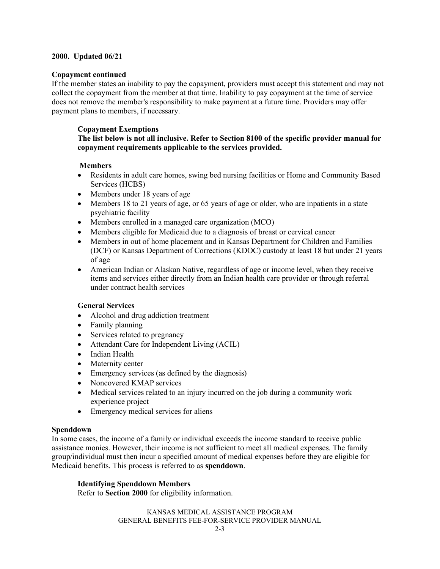#### **Copayment continued**

If the member states an inability to pay the copayment, providers must accept this statement and may not collect the copayment from the member at that time. Inability to pay copayment at the time of service does not remove the member's responsibility to make payment at a future time. Providers may offer payment plans to members, if necessary.

# **Copayment Exemptions**

**The list below is not all inclusive. Refer to Section 8100 of the specific provider manual for copayment requirements applicable to the services provided.**

# **Members**

- Residents in adult care homes, swing bed nursing facilities or Home and Community Based Services (HCBS)
- Members under 18 years of age
- Members 18 to 21 years of age, or 65 years of age or older, who are inpatients in a state psychiatric facility
- Members enrolled in a managed care organization (MCO)
- Members eligible for Medicaid due to a diagnosis of breast or cervical cancer
- Members in out of home placement and in Kansas Department for Children and Families (DCF) or Kansas Department of Corrections (KDOC) custody at least 18 but under 21 years of age
- American Indian or Alaskan Native, regardless of age or income level, when they receive items and services either directly from an Indian health care provider or through referral under contract health services

# **General Services**

- Alcohol and drug addiction treatment
- Family planning
- Services related to pregnancy
- Attendant Care for Independent Living (ACIL)
- Indian Health
- Maternity center
- Emergency services (as defined by the diagnosis)
- Noncovered KMAP services
- Medical services related to an injury incurred on the job during a community work experience project
- Emergency medical services for aliens

# **Spenddown**

In some cases, the income of a family or individual exceeds the income standard to receive public assistance monies. However, their income is not sufficient to meet all medical expenses. The family group/individual must then incur a specified amount of medical expenses before they are eligible for Medicaid benefits. This process is referred to as **spenddown**.

# **Identifying Spenddown Members**

Refer to **Section 2000** for eligibility information.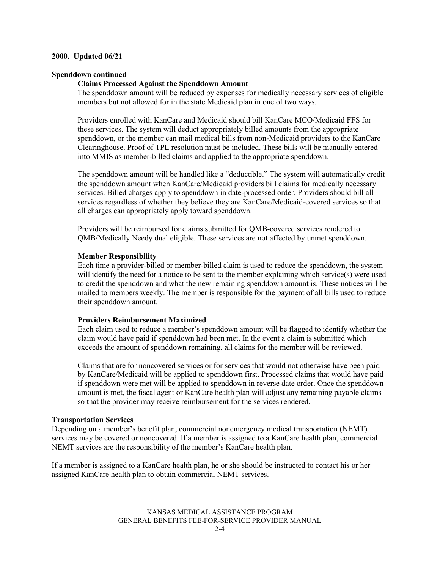#### **Spenddown continued**

#### **Claims Processed Against the Spenddown Amount**

The spenddown amount will be reduced by expenses for medically necessary services of eligible members but not allowed for in the state Medicaid plan in one of two ways.

Providers enrolled with KanCare and Medicaid should bill KanCare MCO/Medicaid FFS for these services. The system will deduct appropriately billed amounts from the appropriate spenddown, or the member can mail medical bills from non-Medicaid providers to the KanCare Clearinghouse. Proof of TPL resolution must be included. These bills will be manually entered into MMIS as member-billed claims and applied to the appropriate spenddown.

The spenddown amount will be handled like a "deductible." The system will automatically credit the spenddown amount when KanCare/Medicaid providers bill claims for medically necessary services. Billed charges apply to spenddown in date-processed order. Providers should bill all services regardless of whether they believe they are KanCare/Medicaid-covered services so that all charges can appropriately apply toward spenddown.

Providers will be reimbursed for claims submitted for QMB-covered services rendered to QMB/Medically Needy dual eligible. These services are not affected by unmet spenddown.

#### **Member Responsibility**

Each time a provider-billed or member-billed claim is used to reduce the spenddown, the system will identify the need for a notice to be sent to the member explaining which service(s) were used to credit the spenddown and what the new remaining spenddown amount is. These notices will be mailed to members weekly. The member is responsible for the payment of all bills used to reduce their spenddown amount.

#### **Providers Reimbursement Maximized**

Each claim used to reduce a member's spenddown amount will be flagged to identify whether the claim would have paid if spenddown had been met. In the event a claim is submitted which exceeds the amount of spenddown remaining, all claims for the member will be reviewed.

Claims that are for noncovered services or for services that would not otherwise have been paid by KanCare/Medicaid will be applied to spenddown first. Processed claims that would have paid if spenddown were met will be applied to spenddown in reverse date order. Once the spenddown amount is met, the fiscal agent or KanCare health plan will adjust any remaining payable claims so that the provider may receive reimbursement for the services rendered.

#### **Transportation Services**

Depending on a member's benefit plan, commercial nonemergency medical transportation (NEMT) services may be covered or noncovered. If a member is assigned to a KanCare health plan, commercial NEMT services are the responsibility of the member's KanCare health plan.

If a member is assigned to a KanCare health plan, he or she should be instructed to contact his or her assigned KanCare health plan to obtain commercial NEMT services.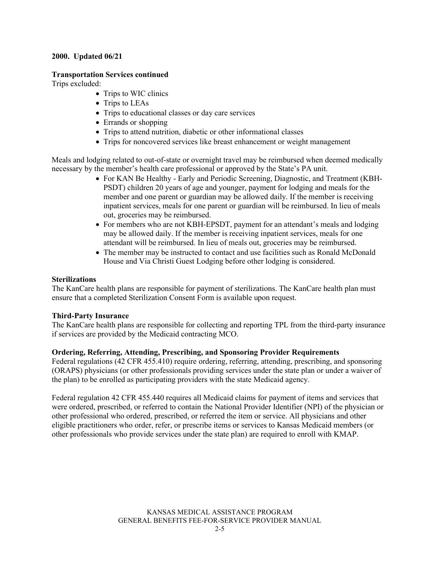#### **Transportation Services continued**

Trips excluded:

- Trips to WIC clinics
- Trips to LEAs
- Trips to educational classes or day care services
- Errands or shopping
- Trips to attend nutrition, diabetic or other informational classes
- Trips for noncovered services like breast enhancement or weight management

Meals and lodging related to out-of-state or overnight travel may be reimbursed when deemed medically necessary by the member's health care professional or approved by the State's PA unit.

- For KAN Be Healthy Early and Periodic Screening, Diagnostic, and Treatment (KBH-PSDT) children 20 years of age and younger, payment for lodging and meals for the member and one parent or guardian may be allowed daily. If the member is receiving inpatient services, meals for one parent or guardian will be reimbursed. In lieu of meals out, groceries may be reimbursed.
- For members who are not KBH-EPSDT, payment for an attendant's meals and lodging may be allowed daily. If the member is receiving inpatient services, meals for one attendant will be reimbursed. In lieu of meals out, groceries may be reimbursed.
- The member may be instructed to contact and use facilities such as Ronald McDonald House and Via Christi Guest Lodging before other lodging is considered.

#### **Sterilizations**

The KanCare health plans are responsible for payment of sterilizations. The KanCare health plan must ensure that a completed Sterilization Consent Form is available upon request.

# **Third-Party Insurance**

The KanCare health plans are responsible for collecting and reporting TPL from the third-party insurance if services are provided by the Medicaid contracting MCO.

#### **Ordering, Referring, Attending, Prescribing, and Sponsoring Provider Requirements**

Federal regulations (42 CFR 455.410) require ordering, referring, attending, prescribing, and sponsoring (ORAPS) physicians (or other professionals providing services under the state plan or under a waiver of the plan) to be enrolled as participating providers with the state Medicaid agency.

Federal regulation 42 CFR 455.440 requires all Medicaid claims for payment of items and services that were ordered, prescribed, or referred to contain the National Provider Identifier (NPI) of the physician or other professional who ordered, prescribed, or referred the item or service. All physicians and other eligible practitioners who order, refer, or prescribe items or services to Kansas Medicaid members (or other professionals who provide services under the state plan) are required to enroll with KMAP.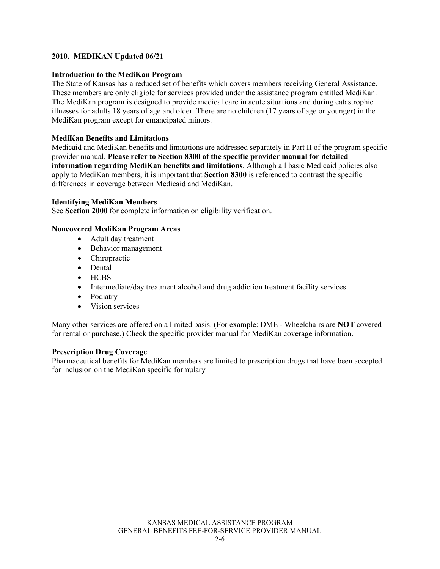# **2010. MEDIKAN Updated 06/21**

# **Introduction to the MediKan Program**

The State of Kansas has a reduced set of benefits which covers members receiving General Assistance. These members are only eligible for services provided under the assistance program entitled MediKan. The MediKan program is designed to provide medical care in acute situations and during catastrophic illnesses for adults 18 years of age and older. There are no children (17 years of age or younger) in the MediKan program except for emancipated minors.

# **MediKan Benefits and Limitations**

Medicaid and MediKan benefits and limitations are addressed separately in Part II of the program specific provider manual. **Please refer to Section 8300 of the specific provider manual for detailed information regarding MediKan benefits and limitations**. Although all basic Medicaid policies also apply to MediKan members, it is important that **Section 8300** is referenced to contrast the specific differences in coverage between Medicaid and MediKan.

# **Identifying MediKan Members**

See **Section 2000** for complete information on eligibility verification.

# **Noncovered MediKan Program Areas**

- Adult day treatment
- Behavior management
- Chiropractic
- Dental
- HCBS
- Intermediate/day treatment alcohol and drug addiction treatment facility services
- Podiatry
- Vision services

Many other services are offered on a limited basis. (For example: DME - Wheelchairs are **NOT** covered for rental or purchase.) Check the specific provider manual for MediKan coverage information.

# **Prescription Drug Coverage**

Pharmaceutical benefits for MediKan members are limited to prescription drugs that have been accepted for inclusion on the MediKan specific formulary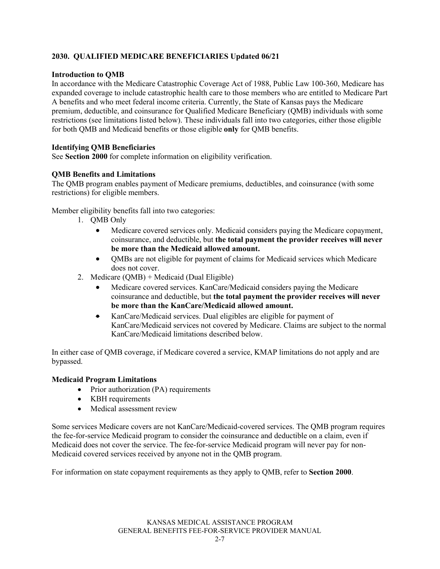# **2030. QUALIFIED MEDICARE BENEFICIARIES Updated 06/21**

# **Introduction to QMB**

In accordance with the Medicare Catastrophic Coverage Act of 1988, Public Law 100-360, Medicare has expanded coverage to include catastrophic health care to those members who are entitled to Medicare Part A benefits and who meet federal income criteria. Currently, the State of Kansas pays the Medicare premium, deductible, and coinsurance for Qualified Medicare Beneficiary (QMB) individuals with some restrictions (see limitations listed below). These individuals fall into two categories, either those eligible for both QMB and Medicaid benefits or those eligible **only** for QMB benefits.

# **Identifying QMB Beneficiaries**

See **Section 2000** for complete information on eligibility verification.

# **QMB Benefits and Limitations**

The QMB program enables payment of Medicare premiums, deductibles, and coinsurance (with some restrictions) for eligible members.

Member eligibility benefits fall into two categories:

- 1. QMB Only
	- Medicare covered services only. Medicaid considers paying the Medicare copayment, coinsurance, and deductible, but **the total payment the provider receives will never be more than the Medicaid allowed amount.**
	- QMBs are not eligible for payment of claims for Medicaid services which Medicare does not cover.
- 2. Medicare (QMB) + Medicaid (Dual Eligible)
	- Medicare covered services. KanCare/Medicaid considers paying the Medicare coinsurance and deductible, but **the total payment the provider receives will never be more than the KanCare/Medicaid allowed amount.**
	- KanCare/Medicaid services. Dual eligibles are eligible for payment of KanCare/Medicaid services not covered by Medicare. Claims are subject to the normal KanCare/Medicaid limitations described below.

In either case of QMB coverage, if Medicare covered a service, KMAP limitations do not apply and are bypassed.

# **Medicaid Program Limitations**

- Prior authorization (PA) requirements
- KBH requirements
- Medical assessment review

Some services Medicare covers are not KanCare/Medicaid-covered services. The QMB program requires the fee-for-service Medicaid program to consider the coinsurance and deductible on a claim, even if Medicaid does not cover the service. The fee-for-service Medicaid program will never pay for non-Medicaid covered services received by anyone not in the QMB program.

For information on state copayment requirements as they apply to QMB, refer to **Section 2000**.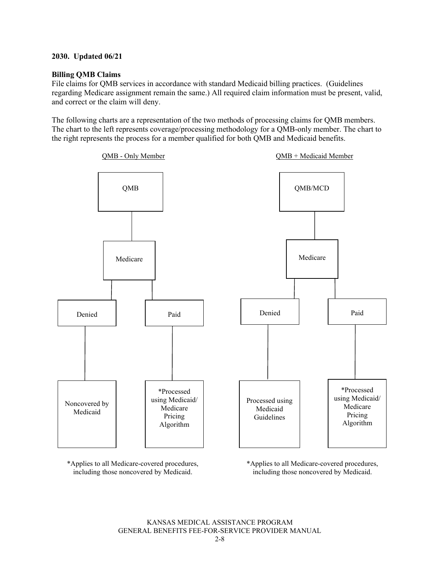#### **Billing QMB Claims**

File claims for QMB services in accordance with standard Medicaid billing practices. (Guidelines regarding Medicare assignment remain the same.) All required claim information must be present, valid, and correct or the claim will deny.

The following charts are a representation of the two methods of processing claims for QMB members. The chart to the left represents coverage/processing methodology for a QMB-only member. The chart to the right represents the process for a member qualified for both QMB and Medicaid benefits.



\*Applies to all Medicare-covered procedures, including those noncovered by Medicaid.

\*Applies to all Medicare-covered procedures, including those noncovered by Medicaid.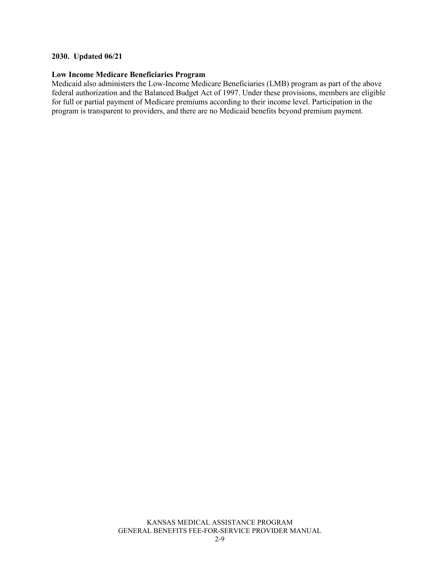#### **Low Income Medicare Beneficiaries Program**

Medicaid also administers the Low-Income Medicare Beneficiaries (LMB) program as part of the above federal authorization and the Balanced Budget Act of 1997. Under these provisions, members are eligible for full or partial payment of Medicare premiums according to their income level. Participation in the program is transparent to providers, and there are no Medicaid benefits beyond premium payment.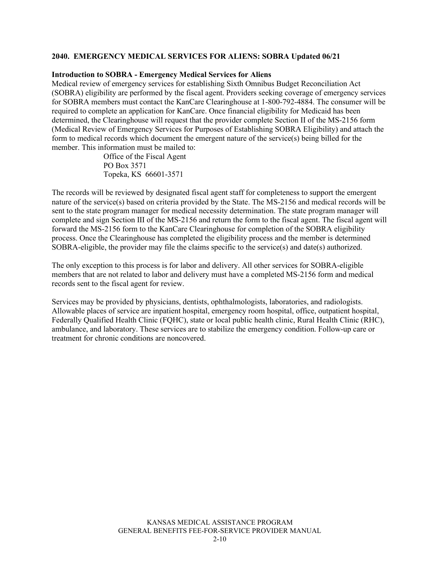#### **2040. EMERGENCY MEDICAL SERVICES FOR ALIENS: SOBRA Updated 06/21**

# **Introduction to SOBRA - Emergency Medical Services for Aliens**

Medical review of emergency services for establishing Sixth Omnibus Budget Reconciliation Act (SOBRA) eligibility are performed by the fiscal agent. Providers seeking coverage of emergency services for SOBRA members must contact the KanCare Clearinghouse at 1-800-792-4884. The consumer will be required to complete an application for KanCare. Once financial eligibility for Medicaid has been determined, the Clearinghouse will request that the provider complete Section II of the MS-2156 form (Medical Review of Emergency Services for Purposes of Establishing SOBRA Eligibility) and attach the form to medical records which document the emergent nature of the service(s) being billed for the member. This information must be mailed to:

> Office of the Fiscal Agent PO Box 3571 Topeka, KS 66601-3571

The records will be reviewed by designated fiscal agent staff for completeness to support the emergent nature of the service(s) based on criteria provided by the State. The MS-2156 and medical records will be sent to the state program manager for medical necessity determination. The state program manager will complete and sign Section III of the MS-2156 and return the form to the fiscal agent. The fiscal agent will forward the MS-2156 form to the KanCare Clearinghouse for completion of the SOBRA eligibility process. Once the Clearinghouse has completed the eligibility process and the member is determined SOBRA-eligible, the provider may file the claims specific to the service(s) and date(s) authorized.

The only exception to this process is for labor and delivery. All other services for SOBRA-eligible members that are not related to labor and delivery must have a completed MS-2156 form and medical records sent to the fiscal agent for review.

Services may be provided by physicians, dentists, ophthalmologists, laboratories, and radiologists. Allowable places of service are inpatient hospital, emergency room hospital, office, outpatient hospital, Federally Qualified Health Clinic (FQHC), state or local public health clinic, Rural Health Clinic (RHC), ambulance, and laboratory. These services are to stabilize the emergency condition. Follow-up care or treatment for chronic conditions are noncovered.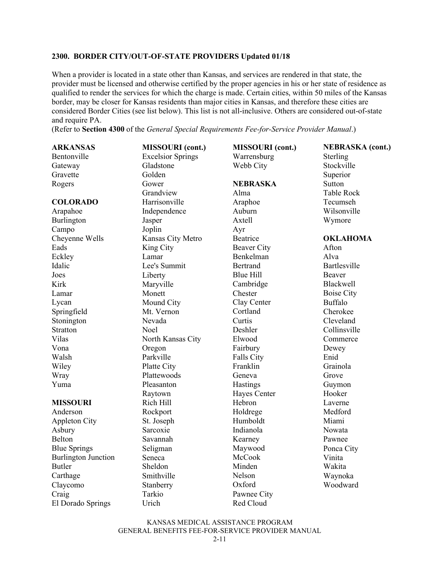# **2300. BORDER CITY/OUT-OF-STATE PROVIDERS Updated 01/18**

When a provider is located in a state other than Kansas, and services are rendered in that state, the provider must be licensed and otherwise certified by the proper agencies in his or her state of residence as qualified to render the services for which the charge is made. Certain cities, within 50 miles of the Kansas border, may be closer for Kansas residents than major cities in Kansas, and therefore these cities are considered Border Cities (see list below). This list is not all-inclusive. Others are considered out-of-state and require PA.

(Refer to **Section 4300** of the *General Special Requirements Fee-for-Service Provider Manual*.)

| <b>ARKANSAS</b>            | <b>MISSOURI</b> (cont.)  | <b>MISSOURI</b> (cont.) | <b>NEBRASKA</b> (cont.) |
|----------------------------|--------------------------|-------------------------|-------------------------|
| Bentonville                | <b>Excelsior Springs</b> | Warrensburg             | Sterling                |
| Gateway                    | Gladstone                | Webb City               | Stockville              |
| Gravette                   | Golden                   |                         | Superior                |
| Rogers                     | Gower                    | <b>NEBRASKA</b>         | Sutton                  |
|                            | Grandview                | Alma                    | Table Rock              |
| <b>COLORADO</b>            | Harrisonville            | Araphoe                 | Tecumseh                |
| Arapahoe                   | Independence             | Auburn                  | Wilsonville             |
| Burlington                 | Jasper                   | Axtell                  | Wymore                  |
| Campo                      | Joplin                   | Ayr                     |                         |
| Cheyenne Wells             | Kansas City Metro        | Beatrice                | <b>OKLAHOMA</b>         |
| Eads                       | King City                | Beaver City             | Afton                   |
| Eckley                     | Lamar                    | Benkelman               | Alva                    |
| Idalic                     | Lee's Summit             | <b>Bertrand</b>         | Bartlesville            |
| Joes                       | Liberty                  | <b>Blue Hill</b>        | Beaver                  |
| Kirk                       | Maryville                | Cambridge               | Blackwell               |
| Lamar                      | Monett                   | Chester                 | <b>Boise City</b>       |
| Lycan                      | Mound City               | Clay Center             | Buffalo                 |
| Springfield                | Mt. Vernon               | Cortland                | Cherokee                |
| Stonington                 | Nevada                   | Curtis                  | Cleveland               |
| <b>Stratton</b>            | Noel                     | Deshler                 | Collinsville            |
| Vilas                      | North Kansas City        | Elwood                  | Commerce                |
| Vona                       | Oregon                   | Fairbury                | Dewey                   |
| Walsh                      | Parkville                | Falls City              | Enid                    |
| Wiley                      | Platte City              | Franklin                | Grainola                |
| Wray                       | Plattewoods              | Geneva                  | Grove                   |
| Yuma                       | Pleasanton               | Hastings                | Guymon                  |
|                            | Raytown                  | Hayes Center            | Hooker                  |
| <b>MISSOURI</b>            | Rich Hill                | Hebron                  | Laverne                 |
| Anderson                   | Rockport                 | Holdrege                | Medford                 |
| <b>Appleton City</b>       | St. Joseph               | Humboldt                | Miami                   |
| Asbury                     | Sarcoxie                 | Indianola               | Nowata                  |
| Belton                     | Savannah                 | Kearney                 | Pawnee                  |
| <b>Blue Springs</b>        | Seligman                 | Maywood                 | Ponca City              |
| <b>Burlington Junction</b> | Seneca                   | McCook                  | Vinita                  |
| <b>Butler</b>              | Sheldon                  | Minden                  | Wakita                  |
| Carthage                   | Smithville               | Nelson                  | Waynoka                 |
| Claycomo                   | Stanberry                | Oxford                  | Woodward                |
| Craig                      | Tarkio                   | Pawnee City             |                         |
| El Dorado Springs          | Urich                    | Red Cloud               |                         |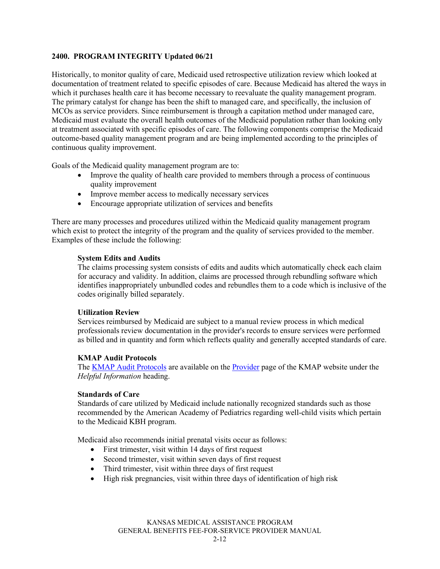#### **2400. PROGRAM INTEGRITY Updated 06/21**

Historically, to monitor quality of care, Medicaid used retrospective utilization review which looked at documentation of treatment related to specific episodes of care. Because Medicaid has altered the ways in which it purchases health care it has become necessary to reevaluate the quality management program. The primary catalyst for change has been the shift to managed care, and specifically, the inclusion of MCOs as service providers. Since reimbursement is through a capitation method under managed care, Medicaid must evaluate the overall health outcomes of the Medicaid population rather than looking only at treatment associated with specific episodes of care. The following components comprise the Medicaid outcome-based quality management program and are being implemented according to the principles of continuous quality improvement.

Goals of the Medicaid quality management program are to:

- Improve the quality of health care provided to members through a process of continuous quality improvement
- Improve member access to medically necessary services
- Encourage appropriate utilization of services and benefits

There are many processes and procedures utilized within the Medicaid quality management program which exist to protect the integrity of the program and the quality of services provided to the member. Examples of these include the following:

#### **System Edits and Audits**

The claims processing system consists of edits and audits which automatically check each claim for accuracy and validity. In addition, claims are processed through rebundling software which identifies inappropriately unbundled codes and rebundles them to a code which is inclusive of the codes originally billed separately.

#### **Utilization Review**

Services reimbursed by Medicaid are subject to a manual review process in which medical professionals review documentation in the provider's records to ensure services were performed as billed and in quantity and form which reflects quality and generally accepted standards of care.

#### **KMAP Audit Protocols**

The **KMAP** Audit Protocols are available on the **Provider** page of the KMAP website under the *Helpful Information* heading.

#### **Standards of Care**

Standards of care utilized by Medicaid include nationally recognized standards such as those recommended by the American Academy of Pediatrics regarding well-child visits which pertain to the Medicaid KBH program.

Medicaid also recommends initial prenatal visits occur as follows:

- First trimester, visit within 14 days of first request
- Second trimester, visit within seven days of first request
- Third trimester, visit within three days of first request
- High risk pregnancies, visit within three days of identification of high risk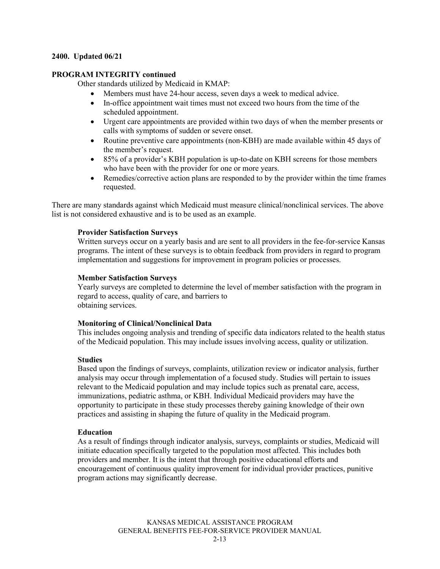#### **PROGRAM INTEGRITY continued**

Other standards utilized by Medicaid in KMAP:

- Members must have 24-hour access, seven days a week to medical advice.
- In-office appointment wait times must not exceed two hours from the time of the scheduled appointment.
- Urgent care appointments are provided within two days of when the member presents or calls with symptoms of sudden or severe onset.
- Routine preventive care appointments (non-KBH) are made available within 45 days of the member's request.
- 85% of a provider's KBH population is up-to-date on KBH screens for those members who have been with the provider for one or more years.
- Remedies/corrective action plans are responded to by the provider within the time frames requested.

There are many standards against which Medicaid must measure clinical/nonclinical services. The above list is not considered exhaustive and is to be used as an example.

#### **Provider Satisfaction Surveys**

Written surveys occur on a yearly basis and are sent to all providers in the fee-for-service Kansas programs. The intent of these surveys is to obtain feedback from providers in regard to program implementation and suggestions for improvement in program policies or processes.

#### **Member Satisfaction Surveys**

Yearly surveys are completed to determine the level of member satisfaction with the program in regard to access, quality of care, and barriers to obtaining services.

#### **Monitoring of Clinical/Nonclinical Data**

This includes ongoing analysis and trending of specific data indicators related to the health status of the Medicaid population. This may include issues involving access, quality or utilization.

#### **Studies**

Based upon the findings of surveys, complaints, utilization review or indicator analysis, further analysis may occur through implementation of a focused study. Studies will pertain to issues relevant to the Medicaid population and may include topics such as prenatal care, access, immunizations, pediatric asthma, or KBH. Individual Medicaid providers may have the opportunity to participate in these study processes thereby gaining knowledge of their own practices and assisting in shaping the future of quality in the Medicaid program.

#### **Education**

As a result of findings through indicator analysis, surveys, complaints or studies, Medicaid will initiate education specifically targeted to the population most affected. This includes both providers and member. It is the intent that through positive educational efforts and encouragement of continuous quality improvement for individual provider practices, punitive program actions may significantly decrease.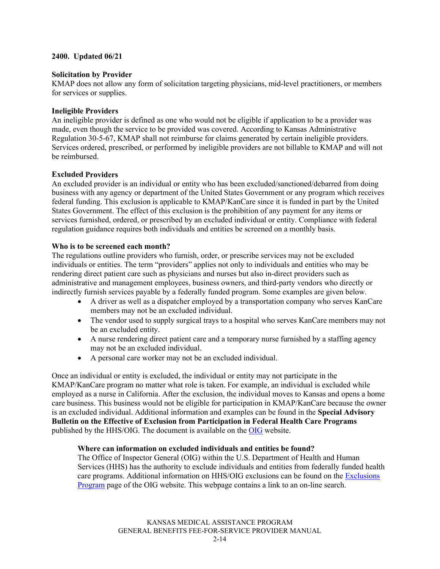#### **Solicitation by Provider**

KMAP does not allow any form of solicitation targeting physicians, mid-level practitioners, or members for services or supplies.

#### **Ineligible Providers**

An ineligible provider is defined as one who would not be eligible if application to be a provider was made, even though the service to be provided was covered. According to Kansas Administrative Regulation 30-5-67, KMAP shall not reimburse for claims generated by certain ineligible providers. Services ordered, prescribed, or performed by ineligible providers are not billable to KMAP and will not be reimbursed.

# **Excluded Providers**

An excluded provider is an individual or entity who has been excluded/sanctioned/debarred from doing business with any agency or department of the United States Government or any program which receives federal funding. This exclusion is applicable to KMAP/KanCare since it is funded in part by the United States Government. The effect of this exclusion is the prohibition of any payment for any items or services furnished, ordered, or prescribed by an excluded individual or entity. Compliance with federal regulation guidance requires both individuals and entities be screened on a monthly basis.

#### **Who is to be screened each month?**

The regulations outline providers who furnish, order, or prescribe services may not be excluded individuals or entities. The term "providers" applies not only to individuals and entities who may be rendering direct patient care such as physicians and nurses but also in-direct providers such as administrative and management employees, business owners, and third-party vendors who directly or indirectly furnish services payable by a federally funded program. Some examples are given below.

- A driver as well as a dispatcher employed by a transportation company who serves KanCare members may not be an excluded individual.
- The vendor used to supply surgical trays to a hospital who serves KanCare members may not be an excluded entity.
- A nurse rendering direct patient care and a temporary nurse furnished by a staffing agency may not be an excluded individual.
- A personal care worker may not be an excluded individual.

Once an individual or entity is excluded, the individual or entity may not participate in the KMAP/KanCare program no matter what role is taken. For example, an individual is excluded while employed as a nurse in California. After the exclusion, the individual moves to Kansas and opens a home care business. This business would not be eligible for participation in KMAP/KanCare because the owner is an excluded individual. Additional information and examples can be found in the **Special Advisory Bulletin on the Effective of Exclusion from Participation in Federal Health Care Programs** published by the HHS/OIG. The document is available on the [OIG](https://oig.hhs.gov/exclusions/files/sab-05092013.pdf) website.

# **Where can information on excluded individuals and entities be found?**

The Office of Inspector General (OIG) within the U.S. Department of Health and Human Services (HHS) has the authority to exclude individuals and entities from federally funded health care programs. Additional information on HHS/OIG exclusions can be found on the [Exclusions](https://www.oig.hhs.gov/exclusions/)  [Program](https://www.oig.hhs.gov/exclusions/) page of the OIG website. This webpage contains a link to an on-line search.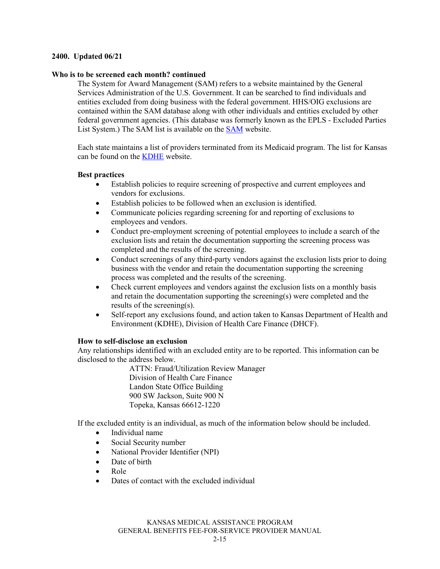#### **Who is to be screened each month? continued**

The System for Award Management (SAM) refers to a website maintained by the General Services Administration of the U.S. Government. It can be searched to find individuals and entities excluded from doing business with the federal government. HHS/OIG exclusions are contained within the SAM database along with other individuals and entities excluded by other federal government agencies. (This database was formerly known as the EPLS - Excluded Parties List System.) The SAM list is available on the [SAM](https://sam.gov/content/home) website.

Each state maintains a list of providers terminated from its Medicaid program. The list for Kansas can be found on the **[KDHE](https://www.kdhe.ks.gov/172/Medicaid)** website.

#### **Best practices**

- Establish policies to require screening of prospective and current employees and vendors for exclusions.
- Establish policies to be followed when an exclusion is identified.
- Communicate policies regarding screening for and reporting of exclusions to employees and vendors.
- Conduct pre-employment screening of potential employees to include a search of the exclusion lists and retain the documentation supporting the screening process was completed and the results of the screening.
- Conduct screenings of any third-party vendors against the exclusion lists prior to doing business with the vendor and retain the documentation supporting the screening process was completed and the results of the screening.
- Check current employees and vendors against the exclusion lists on a monthly basis and retain the documentation supporting the screening(s) were completed and the results of the screening(s).
- Self-report any exclusions found, and action taken to Kansas Department of Health and Environment (KDHE), Division of Health Care Finance (DHCF).

#### **How to self-disclose an exclusion**

Any relationships identified with an excluded entity are to be reported. This information can be disclosed to the address below.

> ATTN: Fraud/Utilization Review Manager Division of Health Care Finance Landon State Office Building 900 SW Jackson, Suite 900 N Topeka, Kansas 66612-1220

If the excluded entity is an individual, as much of the information below should be included.

- Individual name
- Social Security number
- National Provider Identifier (NPI)
- Date of birth
- Role
- Dates of contact with the excluded individual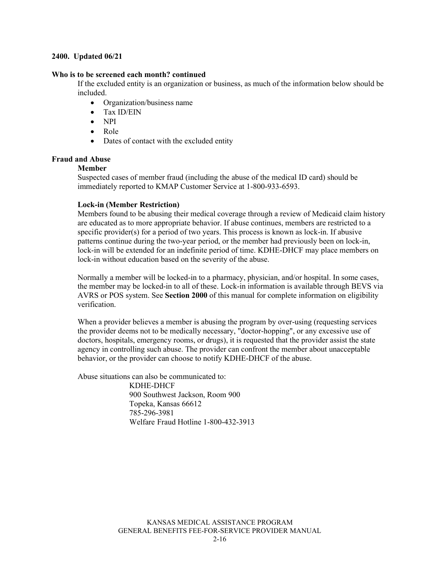#### **Who is to be screened each month? continued**

If the excluded entity is an organization or business, as much of the information below should be included.

- Organization/business name
- Tax ID/EIN
- NPI
- Role
- Dates of contact with the excluded entity

# **Fraud and Abuse**

#### **Member**

Suspected cases of member fraud (including the abuse of the medical ID card) should be immediately reported to KMAP Customer Service at 1-800-933-6593.

#### **Lock-in (Member Restriction)**

Members found to be abusing their medical coverage through a review of Medicaid claim history are educated as to more appropriate behavior. If abuse continues, members are restricted to a specific provider(s) for a period of two years. This process is known as lock-in. If abusive patterns continue during the two-year period, or the member had previously been on lock-in, lock-in will be extended for an indefinite period of time. KDHE-DHCF may place members on lock-in without education based on the severity of the abuse.

Normally a member will be locked-in to a pharmacy, physician, and/or hospital. In some cases, the member may be locked-in to all of these. Lock-in information is available through BEVS via AVRS or POS system. See **Section 2000** of this manual for complete information on eligibility verification.

When a provider believes a member is abusing the program by over-using (requesting services the provider deems not to be medically necessary, "doctor-hopping", or any excessive use of doctors, hospitals, emergency rooms, or drugs), it is requested that the provider assist the state agency in controlling such abuse. The provider can confront the member about unacceptable behavior, or the provider can choose to notify KDHE-DHCF of the abuse.

Abuse situations can also be communicated to:

KDHE-DHCF 900 Southwest Jackson, Room 900 Topeka, Kansas 66612 785-296-3981 Welfare Fraud Hotline 1-800-432-3913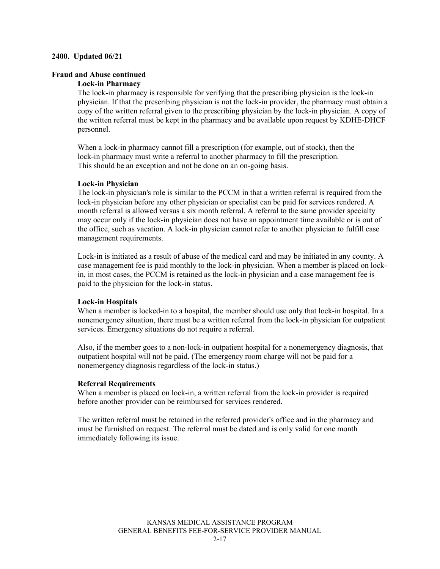#### **Fraud and Abuse continued**

#### **Lock-in Pharmacy**

The lock-in pharmacy is responsible for verifying that the prescribing physician is the lock-in physician. If that the prescribing physician is not the lock-in provider, the pharmacy must obtain a copy of the written referral given to the prescribing physician by the lock-in physician. A copy of the written referral must be kept in the pharmacy and be available upon request by KDHE-DHCF personnel.

When a lock-in pharmacy cannot fill a prescription (for example, out of stock), then the lock-in pharmacy must write a referral to another pharmacy to fill the prescription. This should be an exception and not be done on an on-going basis.

#### **Lock-in Physician**

The lock-in physician's role is similar to the PCCM in that a written referral is required from the lock-in physician before any other physician or specialist can be paid for services rendered. A month referral is allowed versus a six month referral. A referral to the same provider specialty may occur only if the lock-in physician does not have an appointment time available or is out of the office, such as vacation. A lock-in physician cannot refer to another physician to fulfill case management requirements.

Lock-in is initiated as a result of abuse of the medical card and may be initiated in any county. A case management fee is paid monthly to the lock-in physician. When a member is placed on lockin, in most cases, the PCCM is retained as the lock-in physician and a case management fee is paid to the physician for the lock-in status.

#### **Lock-in Hospitals**

When a member is locked-in to a hospital, the member should use only that lock-in hospital. In a nonemergency situation, there must be a written referral from the lock-in physician for outpatient services. Emergency situations do not require a referral.

Also, if the member goes to a non-lock-in outpatient hospital for a nonemergency diagnosis, that outpatient hospital will not be paid. (The emergency room charge will not be paid for a nonemergency diagnosis regardless of the lock-in status.)

#### **Referral Requirements**

When a member is placed on lock-in, a written referral from the lock-in provider is required before another provider can be reimbursed for services rendered.

The written referral must be retained in the referred provider's office and in the pharmacy and must be furnished on request. The referral must be dated and is only valid for one month immediately following its issue.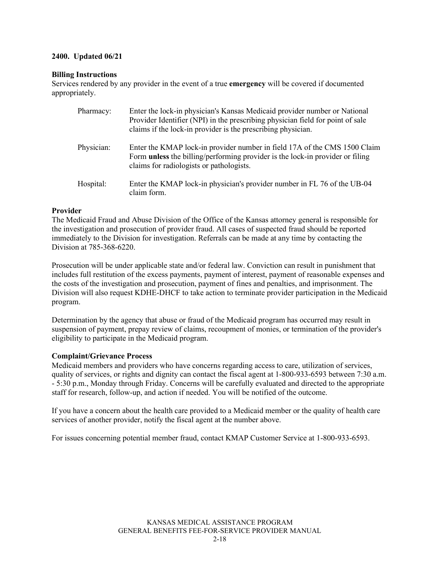#### **Billing Instructions**

Services rendered by any provider in the event of a true **emergency** will be covered if documented appropriately.

| Pharmacy:  | Enter the lock-in physician's Kansas Medicaid provider number or National<br>Provider Identifier (NPI) in the prescribing physician field for point of sale<br>claims if the lock-in provider is the prescribing physician. |
|------------|-----------------------------------------------------------------------------------------------------------------------------------------------------------------------------------------------------------------------------|
| Physician: | Enter the KMAP lock-in provider number in field 17A of the CMS 1500 Claim<br>Form unless the billing/performing provider is the lock-in provider or filing<br>claims for radiologists or pathologists.                      |
| Hospital:  | Enter the KMAP lock-in physician's provider number in FL 76 of the UB-04<br>claim form.                                                                                                                                     |

#### **Provider**

The Medicaid Fraud and Abuse Division of the Office of the Kansas attorney general is responsible for the investigation and prosecution of provider fraud. All cases of suspected fraud should be reported immediately to the Division for investigation. Referrals can be made at any time by contacting the Division at 785-368-6220.

Prosecution will be under applicable state and/or federal law. Conviction can result in punishment that includes full restitution of the excess payments, payment of interest, payment of reasonable expenses and the costs of the investigation and prosecution, payment of fines and penalties, and imprisonment. The Division will also request KDHE-DHCF to take action to terminate provider participation in the Medicaid program.

Determination by the agency that abuse or fraud of the Medicaid program has occurred may result in suspension of payment, prepay review of claims, recoupment of monies, or termination of the provider's eligibility to participate in the Medicaid program.

# **Complaint/Grievance Process**

Medicaid members and providers who have concerns regarding access to care, utilization of services, quality of services, or rights and dignity can contact the fiscal agent at 1-800-933-6593 between 7:30 a.m. - 5:30 p.m., Monday through Friday. Concerns will be carefully evaluated and directed to the appropriate staff for research, follow-up, and action if needed. You will be notified of the outcome.

If you have a concern about the health care provided to a Medicaid member or the quality of health care services of another provider, notify the fiscal agent at the number above.

For issues concerning potential member fraud, contact KMAP Customer Service at 1-800-933-6593.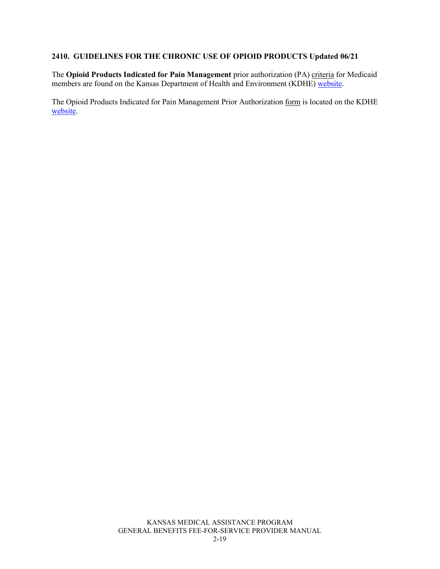# **2410. GUIDELINES FOR THE CHRONIC USE OF OPIOID PRODUCTS Updated 06/21**

The **Opioid Products Indicated for Pain Management** prior authorization (PA) criteria for Medicaid members are found on the Kansas Department of Health and Environment (KDHE) [website.](https://www.sunflowerhealthplan.com/content/dam/centene/sunflower/pdfs/KS-Opioid-PA-Presentation.pdf)

The Opioid Products Indicated for Pain Management Prior Authorization form is located on the KDHE [website.](https://www.sunflowerhealthplan.com/content/dam/centene/sunflower/pdfs/KS-Opioid-PA-Presentation.pdf)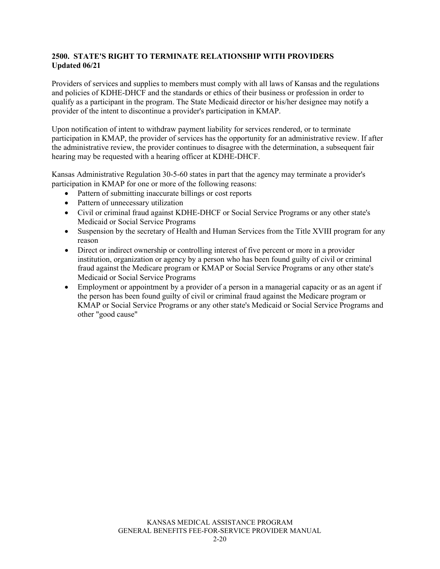# **2500. STATE'S RIGHT TO TERMINATE RELATIONSHIP WITH PROVIDERS Updated 06/21**

Providers of services and supplies to members must comply with all laws of Kansas and the regulations and policies of KDHE-DHCF and the standards or ethics of their business or profession in order to qualify as a participant in the program. The State Medicaid director or his/her designee may notify a provider of the intent to discontinue a provider's participation in KMAP.

Upon notification of intent to withdraw payment liability for services rendered, or to terminate participation in KMAP, the provider of services has the opportunity for an administrative review. If after the administrative review, the provider continues to disagree with the determination, a subsequent fair hearing may be requested with a hearing officer at KDHE-DHCF.

Kansas Administrative Regulation 30-5-60 states in part that the agency may terminate a provider's participation in KMAP for one or more of the following reasons:

- Pattern of submitting inaccurate billings or cost reports
- Pattern of unnecessary utilization
- Civil or criminal fraud against KDHE-DHCF or Social Service Programs or any other state's Medicaid or Social Service Programs
- Suspension by the secretary of Health and Human Services from the Title XVIII program for any reason
- Direct or indirect ownership or controlling interest of five percent or more in a provider institution, organization or agency by a person who has been found guilty of civil or criminal fraud against the Medicare program or KMAP or Social Service Programs or any other state's Medicaid or Social Service Programs
- Employment or appointment by a provider of a person in a managerial capacity or as an agent if the person has been found guilty of civil or criminal fraud against the Medicare program or KMAP or Social Service Programs or any other state's Medicaid or Social Service Programs and other "good cause"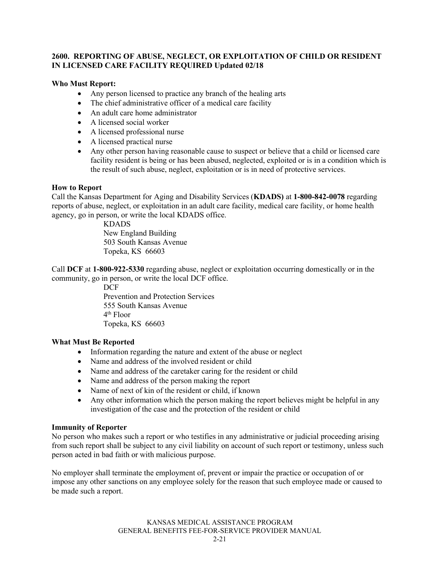# **2600. REPORTING OF ABUSE, NEGLECT, OR EXPLOITATION OF CHILD OR RESIDENT IN LICENSED CARE FACILITY REQUIRED Updated 02/18**

# **Who Must Report:**

- Any person licensed to practice any branch of the healing arts
- The chief administrative officer of a medical care facility
- An adult care home administrator
- A licensed social worker
- A licensed professional nurse
- A licensed practical nurse
- Any other person having reasonable cause to suspect or believe that a child or licensed care facility resident is being or has been abused, neglected, exploited or is in a condition which is the result of such abuse, neglect, exploitation or is in need of protective services.

# **How to Report**

Call the Kansas Department for Aging and Disability Services (**KDADS)** at **1-800-842-0078** regarding reports of abuse, neglect, or exploitation in an adult care facility, medical care facility, or home health agency, go in person, or write the local KDADS office.

> KDADS New England Building 503 South Kansas Avenue Topeka, KS 66603

Call **DCF** at **1-800-922-5330** regarding abuse, neglect or exploitation occurring domestically or in the community, go in person, or write the local DCF office.

**DCF** 

Prevention and Protection Services 555 South Kansas Avenue 4th Floor Topeka, KS 66603

# **What Must Be Reported**

- Information regarding the nature and extent of the abuse or neglect
- Name and address of the involved resident or child
- Name and address of the caretaker caring for the resident or child
- Name and address of the person making the report
- Name of next of kin of the resident or child, if known
- Any other information which the person making the report believes might be helpful in any investigation of the case and the protection of the resident or child

# **Immunity of Reporter**

No person who makes such a report or who testifies in any administrative or judicial proceeding arising from such report shall be subject to any civil liability on account of such report or testimony, unless such person acted in bad faith or with malicious purpose.

No employer shall terminate the employment of, prevent or impair the practice or occupation of or impose any other sanctions on any employee solely for the reason that such employee made or caused to be made such a report.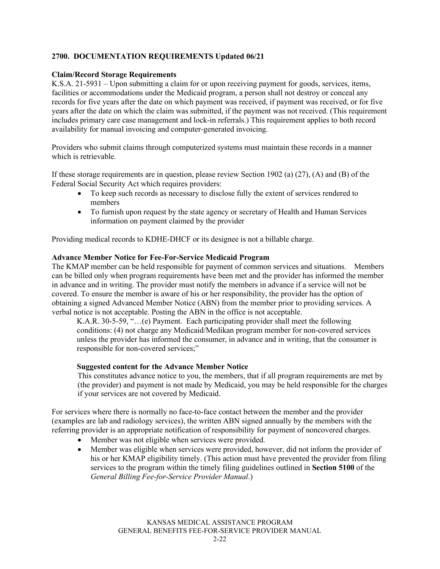# **2700. DOCUMENTATION REQUIREMENTS Updated 06/21**

# **Claim/Record Storage Requirements**

K.S.A. 21-5931 – Upon submitting a claim for or upon receiving payment for goods, services, items, facilities or accommodations under the Medicaid program, a person shall not destroy or conceal any records for five years after the date on which payment was received, if payment was received, or for five years after the date on which the claim was submitted, if the payment was not received. (This requirement includes primary care case management and lock-in referrals.) This requirement applies to both record availability for manual invoicing and computer-generated invoicing.

Providers who submit claims through computerized systems must maintain these records in a manner which is retrievable.

If these storage requirements are in question, please review Section 1902 (a) (27), (A) and (B) of the Federal Social Security Act which requires providers:

- To keep such records as necessary to disclose fully the extent of services rendered to members
- To furnish upon request by the state agency or secretary of Health and Human Services information on payment claimed by the provider

Providing medical records to KDHE-DHCF or its designee is not a billable charge.

# **Advance Member Notice for Fee-For-Service Medicaid Program**

The KMAP member can be held responsible for payment of common services and situations. Members can be billed only when program requirements have been met and the provider has informed the member in advance and in writing. The provider must notify the members in advance if a service will not be covered. To ensure the member is aware of his or her responsibility, the provider has the option of obtaining a signed Advanced Member Notice (ABN) from the member prior to providing services. A verbal notice is not acceptable. Posting the ABN in the office is not acceptable.

K.A.R. 30-5-59, "…(e) Payment. Each participating provider shall meet the following conditions: (4) not charge any Medicaid/Medikan program member for non-covered services unless the provider has informed the consumer, in advance and in writing, that the consumer is responsible for non-covered services;"

#### **Suggested content for the Advance Member Notice**

This constitutes advance notice to you, the members, that if all program requirements are met by (the provider) and payment is not made by Medicaid, you may be held responsible for the charges if your services are not covered by Medicaid.

For services where there is normally no face-to-face contact between the member and the provider (examples are lab and radiology services), the written ABN signed annually by the members with the referring provider is an appropriate notification of responsibility for payment of noncovered charges.

- Member was not eligible when services were provided.
- Member was eligible when services were provided, however, did not inform the provider of his or her KMAP eligibility timely. (This action must have prevented the provider from filing services to the program within the timely filing guidelines outlined in **Section 5100** of the *General Billing Fee-for-Service Provider Manual*.)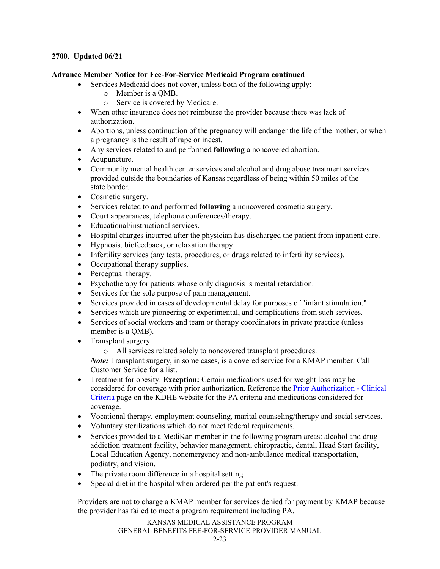# **Advance Member Notice for Fee-For-Service Medicaid Program continued**

- Services Medicaid does not cover, unless both of the following apply:
	- o Member is a QMB.
	- o Service is covered by Medicare.
- When other insurance does not reimburse the provider because there was lack of authorization.
- Abortions, unless continuation of the pregnancy will endanger the life of the mother, or when a pregnancy is the result of rape or incest.
- Any services related to and performed **following** a noncovered abortion.
- Acupuncture.
- Community mental health center services and alcohol and drug abuse treatment services provided outside the boundaries of Kansas regardless of being within 50 miles of the state border.
- Cosmetic surgery.
- Services related to and performed **following** a noncovered cosmetic surgery.
- Court appearances, telephone conferences/therapy.
- Educational/instructional services.
- Hospital charges incurred after the physician has discharged the patient from inpatient care.
- Hypnosis, biofeedback, or relaxation therapy.
- Infertility services (any tests, procedures, or drugs related to infertility services).
- Occupational therapy supplies.
- Perceptual therapy.
- Psychotherapy for patients whose only diagnosis is mental retardation.
- Services for the sole purpose of pain management.
- Services provided in cases of developmental delay for purposes of "infant stimulation."
- Services which are pioneering or experimental, and complications from such services.
- Services of social workers and team or therapy coordinators in private practice (unless member is a QMB).
- Transplant surgery.
	- o All services related solely to noncovered transplant procedures.

*Note:* Transplant surgery, in some cases, is a covered service for a KMAP member. Call Customer Service for a list.

- Treatment for obesity. **Exception:** Certain medications used for weight loss may be considered for coverage with prior authorization. Reference the [Prior Authorization - Clinical](https://www.kdhe.ks.gov/206/General-Clinical-Prior-Authorization)  [Criteria](https://www.kdhe.ks.gov/206/General-Clinical-Prior-Authorization) page on the KDHE website for the PA criteria and medications considered for coverage.
- Vocational therapy, employment counseling, marital counseling/therapy and social services.
- Voluntary sterilizations which do not meet federal requirements.
- Services provided to a MediKan member in the following program areas: alcohol and drug addiction treatment facility, behavior management, chiropractic, dental, Head Start facility, Local Education Agency, nonemergency and non-ambulance medical transportation, podiatry, and vision.
- The private room difference in a hospital setting.
- Special diet in the hospital when ordered per the patient's request.

Providers are not to charge a KMAP member for services denied for payment by KMAP because the provider has failed to meet a program requirement including PA.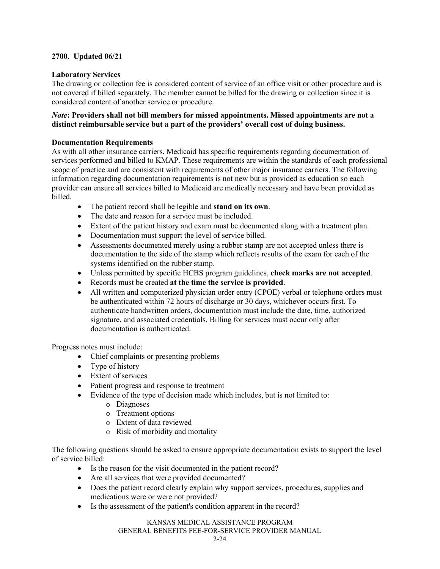# **Laboratory Services**

The drawing or collection fee is considered content of service of an office visit or other procedure and is not covered if billed separately. The member cannot be billed for the drawing or collection since it is considered content of another service or procedure.

# *Note***: Providers shall not bill members for missed appointments. Missed appointments are not a distinct reimbursable service but a part of the providers' overall cost of doing business.**

#### **Documentation Requirements**

As with all other insurance carriers, Medicaid has specific requirements regarding documentation of services performed and billed to KMAP. These requirements are within the standards of each professional scope of practice and are consistent with requirements of other major insurance carriers. The following information regarding documentation requirements is not new but is provided as education so each provider can ensure all services billed to Medicaid are medically necessary and have been provided as billed.

- The patient record shall be legible and **stand on its own**.
- The date and reason for a service must be included.
- Extent of the patient history and exam must be documented along with a treatment plan.
- Documentation must support the level of service billed.
- Assessments documented merely using a rubber stamp are not accepted unless there is documentation to the side of the stamp which reflects results of the exam for each of the systems identified on the rubber stamp.
- Unless permitted by specific HCBS program guidelines, **check marks are not accepted**.
- Records must be created **at the time the service is provided**.
- All written and computerized physician order entry (CPOE) verbal or telephone orders must be authenticated within 72 hours of discharge or 30 days, whichever occurs first. To authenticate handwritten orders, documentation must include the date, time, authorized signature, and associated credentials. Billing for services must occur only after documentation is authenticated.

Progress notes must include:

- Chief complaints or presenting problems
- Type of history
- Extent of services
- Patient progress and response to treatment
- Evidence of the type of decision made which includes, but is not limited to:
	- o Diagnoses
	- o Treatment options
	- o Extent of data reviewed
	- o Risk of morbidity and mortality

The following questions should be asked to ensure appropriate documentation exists to support the level of service billed:

- Is the reason for the visit documented in the patient record?
- Are all services that were provided documented?
- Does the patient record clearly explain why support services, procedures, supplies and medications were or were not provided?
- Is the assessment of the patient's condition apparent in the record?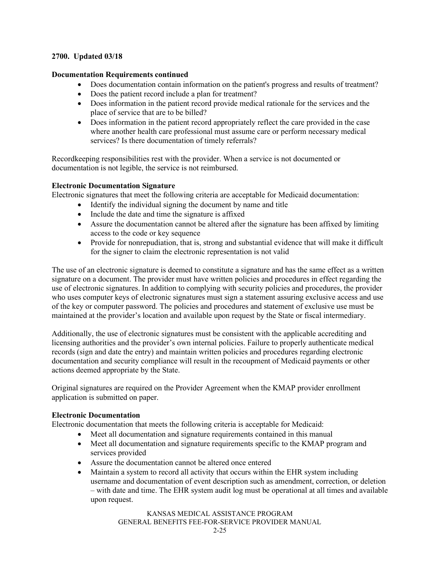#### **Documentation Requirements continued**

- Does documentation contain information on the patient's progress and results of treatment?
- Does the patient record include a plan for treatment?
- Does information in the patient record provide medical rationale for the services and the place of service that are to be billed?
- Does information in the patient record appropriately reflect the care provided in the case where another health care professional must assume care or perform necessary medical services? Is there documentation of timely referrals?

Recordkeeping responsibilities rest with the provider. When a service is not documented or documentation is not legible, the service is not reimbursed.

# **Electronic Documentation Signature**

Electronic signatures that meet the following criteria are acceptable for Medicaid documentation:

- Identify the individual signing the document by name and title
- Include the date and time the signature is affixed
- Assure the documentation cannot be altered after the signature has been affixed by limiting access to the code or key sequence
- Provide for nonrepudiation, that is, strong and substantial evidence that will make it difficult for the signer to claim the electronic representation is not valid

The use of an electronic signature is deemed to constitute a signature and has the same effect as a written signature on a document. The provider must have written policies and procedures in effect regarding the use of electronic signatures. In addition to complying with security policies and procedures, the provider who uses computer keys of electronic signatures must sign a statement assuring exclusive access and use of the key or computer password. The policies and procedures and statement of exclusive use must be maintained at the provider's location and available upon request by the State or fiscal intermediary.

Additionally, the use of electronic signatures must be consistent with the applicable accrediting and licensing authorities and the provider's own internal policies. Failure to properly authenticate medical records (sign and date the entry) and maintain written policies and procedures regarding electronic documentation and security compliance will result in the recoupment of Medicaid payments or other actions deemed appropriate by the State.

Original signatures are required on the Provider Agreement when the KMAP provider enrollment application is submitted on paper.

# **Electronic Documentation**

Electronic documentation that meets the following criteria is acceptable for Medicaid:

- Meet all documentation and signature requirements contained in this manual
- Meet all documentation and signature requirements specific to the KMAP program and services provided
- Assure the documentation cannot be altered once entered
- Maintain a system to record all activity that occurs within the EHR system including username and documentation of event description such as amendment, correction, or deletion – with date and time. The EHR system audit log must be operational at all times and available upon request.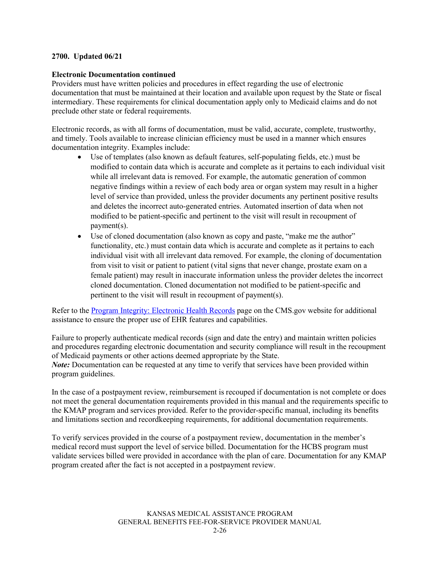#### **Electronic Documentation continued**

Providers must have written policies and procedures in effect regarding the use of electronic documentation that must be maintained at their location and available upon request by the State or fiscal intermediary. These requirements for clinical documentation apply only to Medicaid claims and do not preclude other state or federal requirements.

Electronic records, as with all forms of documentation, must be valid, accurate, complete, trustworthy, and timely. Tools available to increase clinician efficiency must be used in a manner which ensures documentation integrity. Examples include:

- Use of templates (also known as default features, self-populating fields, etc.) must be modified to contain data which is accurate and complete as it pertains to each individual visit while all irrelevant data is removed. For example, the automatic generation of common negative findings within a review of each body area or organ system may result in a higher level of service than provided, unless the provider documents any pertinent positive results and deletes the incorrect auto-generated entries. Automated insertion of data when not modified to be patient-specific and pertinent to the visit will result in recoupment of payment(s).
- Use of cloned documentation (also known as copy and paste, "make me the author" functionality, etc.) must contain data which is accurate and complete as it pertains to each individual visit with all irrelevant data removed. For example, the cloning of documentation from visit to visit or patient to patient (vital signs that never change, prostate exam on a female patient) may result in inaccurate information unless the provider deletes the incorrect cloned documentation. Cloned documentation not modified to be patient-specific and pertinent to the visit will result in recoupment of payment(s).

Refer to th[e Program Integrity: Electronic Health Records](https://clicktime.symantec.com/3W7ps2jdJ8mE1RU7QGxBLQp7Vc?u=https%3A%2F%2Fgcc02.safelinks.protection.outlook.com%2F%3Furl%3Dhttps%253A%252F%252Fwww.cms.gov%252FMedicare%252FE-Health%252FEHealthRecords%26data%3D04%257C01%257CLisa.Wessel%2540ks.gov%257Cfe69c8f01997480f9aa608d91c9b94df%257Cdcae8101c92d480cbc43c6761ccccc5a%257C0%257C0%257C637572276798850685%257CUnknown%257CTWFpbGZsb3d8eyJWIjoiMC4wLjAwMDAiLCJQIjoiV2luMzIiLCJBTiI6Ik1haWwiLCJXVCI6Mn0%253D%257C1000%26sdata%3DRBkcLNaiRb8CRAMlbaZi1QTdEJDDB8dy1QIk7jA7w3A%253D%26reserved%3D0) page on the CMS.gov website for additional assistance to ensure the proper use of EHR features and capabilities.

Failure to properly authenticate medical records (sign and date the entry) and maintain written policies and procedures regarding electronic documentation and security compliance will result in the recoupment of Medicaid payments or other actions deemed appropriate by the State. *Note:* Documentation can be requested at any time to verify that services have been provided within program guidelines.

In the case of a postpayment review, reimbursement is recouped if documentation is not complete or does not meet the general documentation requirements provided in this manual and the requirements specific to the KMAP program and services provided. Refer to the provider-specific manual, including its benefits and limitations section and recordkeeping requirements, for additional documentation requirements.

To verify services provided in the course of a postpayment review, documentation in the member's medical record must support the level of service billed. Documentation for the HCBS program must validate services billed were provided in accordance with the plan of care. Documentation for any KMAP program created after the fact is not accepted in a postpayment review.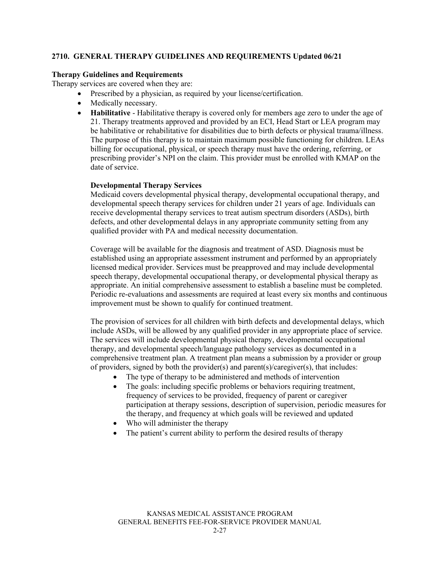#### **2710. GENERAL THERAPY GUIDELINES AND REQUIREMENTS Updated 06/21**

#### **Therapy Guidelines and Requirements**

Therapy services are covered when they are:

- Prescribed by a physician, as required by your license/certification.
- Medically necessary.
- **Habilitative** Habilitative therapy is covered only for members age zero to under the age of 21. Therapy treatments approved and provided by an ECI, Head Start or LEA program may be habilitative or rehabilitative for disabilities due to birth defects or physical trauma/illness. The purpose of this therapy is to maintain maximum possible functioning for children. LEAs billing for occupational, physical, or speech therapy must have the ordering, referring, or prescribing provider's NPI on the claim. This provider must be enrolled with KMAP on the date of service.

#### **Developmental Therapy Services**

Medicaid covers developmental physical therapy, developmental occupational therapy, and developmental speech therapy services for children under 21 years of age. Individuals can receive developmental therapy services to treat autism spectrum disorders (ASDs), birth defects, and other developmental delays in any appropriate community setting from any qualified provider with PA and medical necessity documentation.

Coverage will be available for the diagnosis and treatment of ASD. Diagnosis must be established using an appropriate assessment instrument and performed by an appropriately licensed medical provider. Services must be preapproved and may include developmental speech therapy, developmental occupational therapy, or developmental physical therapy as appropriate. An initial comprehensive assessment to establish a baseline must be completed. Periodic re-evaluations and assessments are required at least every six months and continuous improvement must be shown to qualify for continued treatment.

The provision of services for all children with birth defects and developmental delays, which include ASDs, will be allowed by any qualified provider in any appropriate place of service. The services will include developmental physical therapy, developmental occupational therapy, and developmental speech/language pathology services as documented in a comprehensive treatment plan. A treatment plan means a submission by a provider or group of providers, signed by both the provider(s) and parent(s)/caregiver(s), that includes:

- The type of therapy to be administered and methods of intervention
- The goals: including specific problems or behaviors requiring treatment, frequency of services to be provided, frequency of parent or caregiver participation at therapy sessions, description of supervision, periodic measures for the therapy, and frequency at which goals will be reviewed and updated
- Who will administer the therapy
- The patient's current ability to perform the desired results of therapy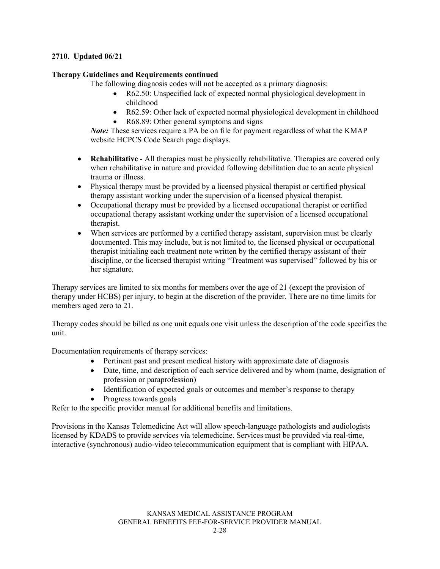# **Therapy Guidelines and Requirements continued**

The following diagnosis codes will not be accepted as a primary diagnosis:

- R62.50: Unspecified lack of expected normal physiological development in childhood
- R62.59: Other lack of expected normal physiological development in childhood
- R68.89: Other general symptoms and signs

*Note:* These services require a PA be on file for payment regardless of what the KMAP website HCPCS Code Search page displays.

- **Rehabilitative** All therapies must be physically rehabilitative. Therapies are covered only when rehabilitative in nature and provided following debilitation due to an acute physical trauma or illness.
- Physical therapy must be provided by a licensed physical therapist or certified physical therapy assistant working under the supervision of a licensed physical therapist.
- Occupational therapy must be provided by a licensed occupational therapist or certified occupational therapy assistant working under the supervision of a licensed occupational therapist.
- When services are performed by a certified therapy assistant, supervision must be clearly documented. This may include, but is not limited to, the licensed physical or occupational therapist initialing each treatment note written by the certified therapy assistant of their discipline, or the licensed therapist writing "Treatment was supervised" followed by his or her signature.

Therapy services are limited to six months for members over the age of 21 (except the provision of therapy under HCBS) per injury, to begin at the discretion of the provider. There are no time limits for members aged zero to 21.

Therapy codes should be billed as one unit equals one visit unless the description of the code specifies the unit.

Documentation requirements of therapy services:

- Pertinent past and present medical history with approximate date of diagnosis
- Date, time, and description of each service delivered and by whom (name, designation of profession or paraprofession)
- Identification of expected goals or outcomes and member's response to therapy
- Progress towards goals

Refer to the specific provider manual for additional benefits and limitations.

Provisions in the Kansas Telemedicine Act will allow speech-language pathologists and audiologists licensed by KDADS to provide services via telemedicine. Services must be provided via real-time, interactive (synchronous) audio-video telecommunication equipment that is compliant with HIPAA.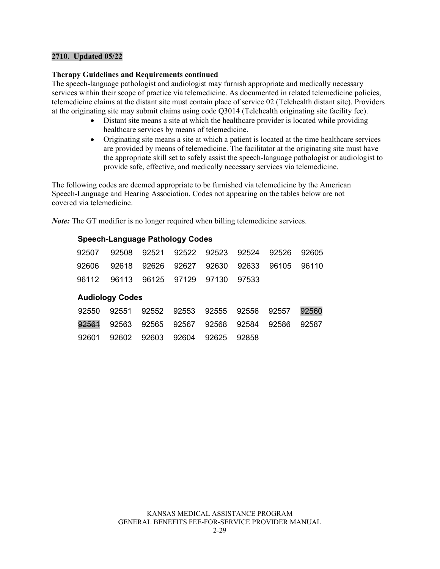#### **Therapy Guidelines and Requirements continued**

The speech-language pathologist and audiologist may furnish appropriate and medically necessary services within their scope of practice via telemedicine. As documented in related telemedicine policies, telemedicine claims at the distant site must contain place of service 02 (Telehealth distant site). Providers at the originating site may submit claims using code Q3014 (Telehealth originating site facility fee).

- Distant site means a site at which the healthcare provider is located while providing healthcare services by means of telemedicine.
- Originating site means a site at which a patient is located at the time healthcare services are provided by means of telemedicine. The facilitator at the originating site must have the appropriate skill set to safely assist the speech-language pathologist or audiologist to provide safe, effective, and medically necessary services via telemedicine.

The following codes are deemed appropriate to be furnished via telemedicine by the American Speech-Language and Hearing Association. Codes not appearing on the tables below are not covered via telemedicine.

*Note:* The GT modifier is no longer required when billing telemedicine services.

#### **Speech-Language Pathology Codes**

| 92507                  | 92508 |             |       | 92521 92522 92523 92524 |       | 92526 | 92605 |  |
|------------------------|-------|-------------|-------|-------------------------|-------|-------|-------|--|
| 92606.                 | 92618 | 92626 92627 |       | 92630                   | 92633 | 96105 | 96110 |  |
| 96112                  | 96113 | 96125 97129 |       | 97130                   | 97533 |       |       |  |
| <b>Audiology Codes</b> |       |             |       |                         |       |       |       |  |
| 92550                  | 92551 |             |       | 92552 92553 92555 92556 |       | 92557 | 92560 |  |
| 92561                  | 92563 | 92565       | 92567 | 92568                   | 92584 | 92586 | 92587 |  |
| 92601                  | 92602 | 92603       | 92604 | 92625                   | 92858 |       |       |  |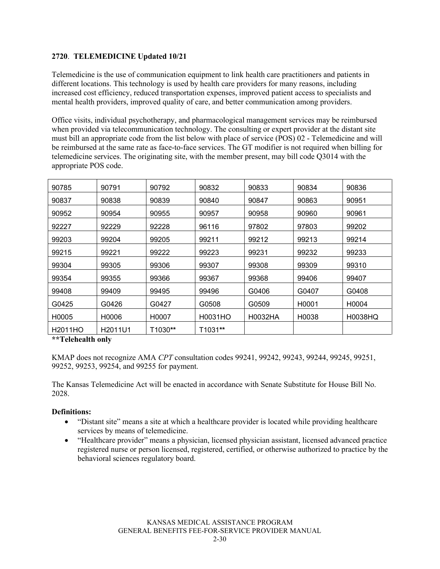# **2720**. **TELEMEDICINE Updated 10/21**

Telemedicine is the use of communication equipment to link health care practitioners and patients in different locations. This technology is used by health care providers for many reasons, including increased cost efficiency, reduced transportation expenses, improved patient access to specialists and mental health providers, improved quality of care, and better communication among providers.

Office visits, individual psychotherapy, and pharmacological management services may be reimbursed when provided via telecommunication technology. The consulting or expert provider at the distant site must bill an appropriate code from the list below with place of service (POS) 02 - Telemedicine and will be reimbursed at the same rate as face-to-face services. The GT modifier is not required when billing for telemedicine services. The originating site, with the member present, may bill code Q3014 with the appropriate POS code.

| 90785                            | 90791                            | 90792   | 90832   | 90833   | 90834 | 90836   |
|----------------------------------|----------------------------------|---------|---------|---------|-------|---------|
| 90837                            | 90838                            | 90839   | 90840   | 90847   | 90863 | 90951   |
| 90952                            | 90954                            | 90955   | 90957   | 90958   | 90960 | 90961   |
| 92227                            | 92229                            | 92228   | 96116   | 97802   | 97803 | 99202   |
| 99203                            | 99204                            | 99205   | 99211   | 99212   | 99213 | 99214   |
| 99215                            | 99221                            | 99222   | 99223   | 99231   | 99232 | 99233   |
| 99304                            | 99305                            | 99306   | 99307   | 99308   | 99309 | 99310   |
| 99354                            | 99355                            | 99366   | 99367   | 99368   | 99406 | 99407   |
| 99408                            | 99409                            | 99495   | 99496   | G0406   | G0407 | G0408   |
| G0425                            | G0426                            | G0427   | G0508   | G0509   | H0001 | H0004   |
| H0005                            | H0006                            | H0007   | H0031HO | H0032HA | H0038 | H0038HQ |
| H <sub>2011</sub> H <sub>O</sub> | H <sub>2011</sub> U <sub>1</sub> | T1030** | T1031** |         |       |         |

**\*\*Telehealth only**

KMAP does not recognize AMA *CPT* consultation codes 99241, 99242, 99243, 99244, 99245, 99251, 99252, 99253, 99254, and 99255 for payment.

The Kansas Telemedicine Act will be enacted in accordance with Senate Substitute for House Bill No. 2028.

# **Definitions:**

- "Distant site" means a site at which a healthcare provider is located while providing healthcare services by means of telemedicine.
- "Healthcare provider" means a physician, licensed physician assistant, licensed advanced practice registered nurse or person licensed, registered, certified, or otherwise authorized to practice by the behavioral sciences regulatory board.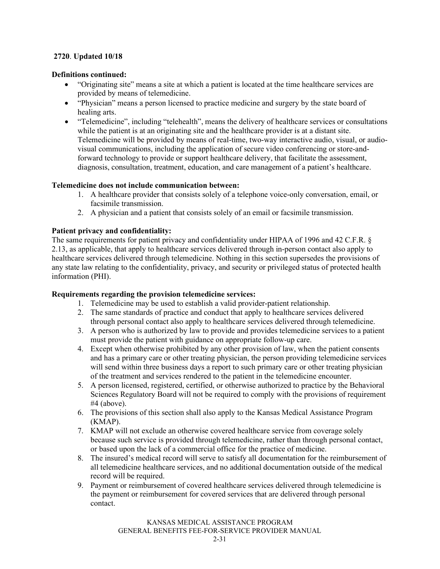# **Definitions continued:**

- "Originating site" means a site at which a patient is located at the time healthcare services are provided by means of telemedicine.
- "Physician" means a person licensed to practice medicine and surgery by the state board of healing arts.
- "Telemedicine", including "telehealth", means the delivery of healthcare services or consultations while the patient is at an originating site and the healthcare provider is at a distant site. Telemedicine will be provided by means of real-time, two-way interactive audio, visual, or audiovisual communications, including the application of secure video conferencing or store-andforward technology to provide or support healthcare delivery, that facilitate the assessment, diagnosis, consultation, treatment, education, and care management of a patient's healthcare.

# **Telemedicine does not include communication between:**

- 1. A healthcare provider that consists solely of a telephone voice-only conversation, email, or facsimile transmission.
- 2. A physician and a patient that consists solely of an email or facsimile transmission.

# **Patient privacy and confidentiality:**

The same requirements for patient privacy and confidentiality under HIPAA of 1996 and 42 C.F.R. § 2.13, as applicable, that apply to healthcare services delivered through in-person contact also apply to healthcare services delivered through telemedicine. Nothing in this section supersedes the provisions of any state law relating to the confidentiality, privacy, and security or privileged status of protected health information (PHI).

# **Requirements regarding the provision telemedicine services:**

- 1. Telemedicine may be used to establish a valid provider-patient relationship.
- 2. The same standards of practice and conduct that apply to healthcare services delivered through personal contact also apply to healthcare services delivered through telemedicine.
- 3. A person who is authorized by law to provide and provides telemedicine services to a patient must provide the patient with guidance on appropriate follow-up care.
- 4. Except when otherwise prohibited by any other provision of law, when the patient consents and has a primary care or other treating physician, the person providing telemedicine services will send within three business days a report to such primary care or other treating physician of the treatment and services rendered to the patient in the telemedicine encounter.
- 5. A person licensed, registered, certified, or otherwise authorized to practice by the Behavioral Sciences Regulatory Board will not be required to comply with the provisions of requirement #4 (above).
- 6. The provisions of this section shall also apply to the Kansas Medical Assistance Program (KMAP).
- 7. KMAP will not exclude an otherwise covered healthcare service from coverage solely because such service is provided through telemedicine, rather than through personal contact, or based upon the lack of a commercial office for the practice of medicine.
- 8. The insured's medical record will serve to satisfy all documentation for the reimbursement of all telemedicine healthcare services, and no additional documentation outside of the medical record will be required.
- 9. Payment or reimbursement of covered healthcare services delivered through telemedicine is the payment or reimbursement for covered services that are delivered through personal contact.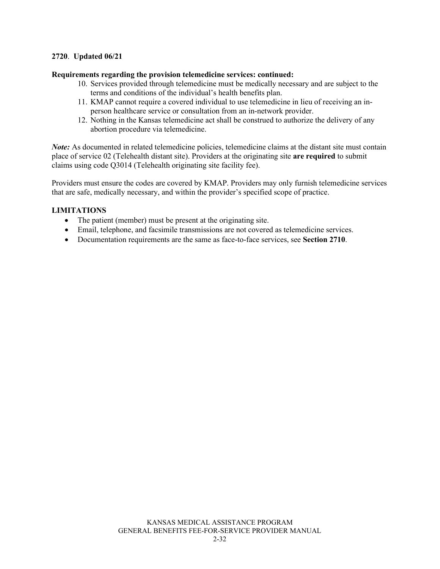#### **Requirements regarding the provision telemedicine services: continued:**

- 10. Services provided through telemedicine must be medically necessary and are subject to the terms and conditions of the individual's health benefits plan.
- 11. KMAP cannot require a covered individual to use telemedicine in lieu of receiving an inperson healthcare service or consultation from an in-network provider.
- 12. Nothing in the Kansas telemedicine act shall be construed to authorize the delivery of any abortion procedure via telemedicine.

*Note*: As documented in related telemedicine policies, telemedicine claims at the distant site must contain place of service 02 (Telehealth distant site). Providers at the originating site **are required** to submit claims using code Q3014 (Telehealth originating site facility fee).

Providers must ensure the codes are covered by KMAP. Providers may only furnish telemedicine services that are safe, medically necessary, and within the provider's specified scope of practice.

# **LIMITATIONS**

- The patient (member) must be present at the originating site.
- Email, telephone, and facsimile transmissions are not covered as telemedicine services.
- Documentation requirements are the same as face-to-face services, see **Section 2710**.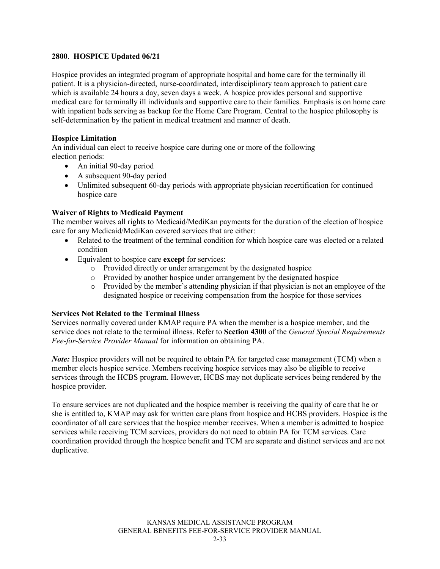# **2800**. **HOSPICE Updated 06/21**

Hospice provides an integrated program of appropriate hospital and home care for the terminally ill patient. It is a physician-directed, nurse-coordinated, interdisciplinary team approach to patient care which is available 24 hours a day, seven days a week. A hospice provides personal and supportive medical care for terminally ill individuals and supportive care to their families. Emphasis is on home care with inpatient beds serving as backup for the Home Care Program. Central to the hospice philosophy is self-determination by the patient in medical treatment and manner of death.

# **Hospice Limitation**

An individual can elect to receive hospice care during one or more of the following election periods:

- An initial 90-day period
- A subsequent 90-day period
- Unlimited subsequent 60-day periods with appropriate physician recertification for continued hospice care

# **Waiver of Rights to Medicaid Payment**

The member waives all rights to Medicaid/MediKan payments for the duration of the election of hospice care for any Medicaid/MediKan covered services that are either:

- Related to the treatment of the terminal condition for which hospice care was elected or a related condition
- Equivalent to hospice care **except** for services:
	- o Provided directly or under arrangement by the designated hospice
	- o Provided by another hospice under arrangement by the designated hospice
	- $\circ$  Provided by the member's attending physician if that physician is not an employee of the designated hospice or receiving compensation from the hospice for those services

# **Services Not Related to the Terminal Illness**

Services normally covered under KMAP require PA when the member is a hospice member, and the service does not relate to the terminal illness. Refer to **Section 4300** of the *General Special Requirements Fee-for-Service Provider Manual* for information on obtaining PA.

*Note*: Hospice providers will not be required to obtain PA for targeted case management (TCM) when a member elects hospice service. Members receiving hospice services may also be eligible to receive services through the HCBS program. However, HCBS may not duplicate services being rendered by the hospice provider.

To ensure services are not duplicated and the hospice member is receiving the quality of care that he or she is entitled to, KMAP may ask for written care plans from hospice and HCBS providers. Hospice is the coordinator of all care services that the hospice member receives. When a member is admitted to hospice services while receiving TCM services, providers do not need to obtain PA for TCM services. Care coordination provided through the hospice benefit and TCM are separate and distinct services and are not duplicative.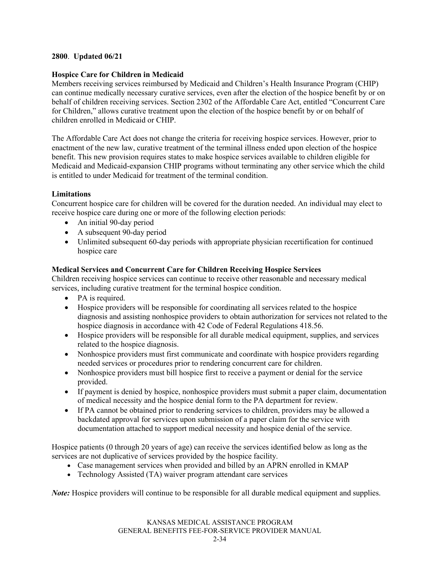# **Hospice Care for Children in Medicaid**

Members receiving services reimbursed by Medicaid and Children's Health Insurance Program (CHIP) can continue medically necessary curative services, even after the election of the hospice benefit by or on behalf of children receiving services. Section 2302 of the Affordable Care Act, entitled "Concurrent Care for Children," allows curative treatment upon the election of the hospice benefit by or on behalf of children enrolled in Medicaid or CHIP.

The Affordable Care Act does not change the criteria for receiving hospice services. However, prior to enactment of the new law, curative treatment of the terminal illness ended upon election of the hospice benefit. This new provision requires states to make hospice services available to children eligible for Medicaid and Medicaid-expansion CHIP programs without terminating any other service which the child is entitled to under Medicaid for treatment of the terminal condition.

# **Limitations**

Concurrent hospice care for children will be covered for the duration needed. An individual may elect to receive hospice care during one or more of the following election periods:

- An initial 90-day period
- A subsequent 90-day period
- Unlimited subsequent 60-day periods with appropriate physician recertification for continued hospice care

# **Medical Services and Concurrent Care for Children Receiving Hospice Services**

Children receiving hospice services can continue to receive other reasonable and necessary medical services, including curative treatment for the terminal hospice condition.

- PA is required.
- Hospice providers will be responsible for coordinating all services related to the hospice diagnosis and assisting nonhospice providers to obtain authorization for services not related to the hospice diagnosis in accordance with 42 Code of Federal Regulations 418.56.
- Hospice providers will be responsible for all durable medical equipment, supplies, and services related to the hospice diagnosis.
- Nonhospice providers must first communicate and coordinate with hospice providers regarding needed services or procedures prior to rendering concurrent care for children.
- Nonhospice providers must bill hospice first to receive a payment or denial for the service provided.
- If payment is denied by hospice, nonhospice providers must submit a paper claim, documentation of medical necessity and the hospice denial form to the PA department for review.
- If PA cannot be obtained prior to rendering services to children, providers may be allowed a backdated approval for services upon submission of a paper claim for the service with documentation attached to support medical necessity and hospice denial of the service.

Hospice patients (0 through 20 years of age) can receive the services identified below as long as the services are not duplicative of services provided by the hospice facility.

- Case management services when provided and billed by an APRN enrolled in KMAP
- Technology Assisted (TA) waiver program attendant care services

*Note:* Hospice providers will continue to be responsible for all durable medical equipment and supplies.